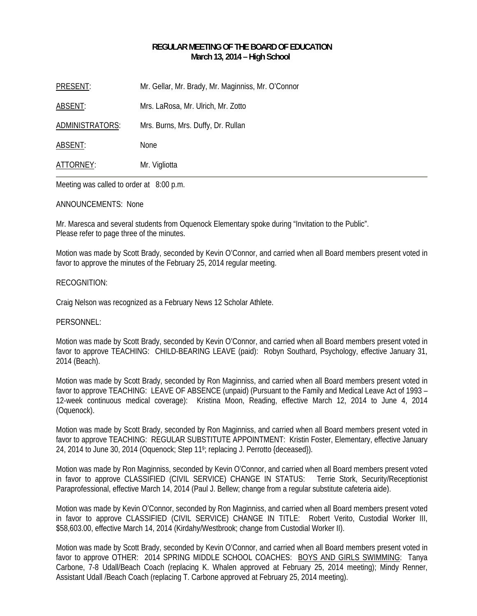## **REGULAR MEETING OF THE BOARD OF EDUCATION March 13, 2014 – High School**

| PRESENT:        | Mr. Gellar, Mr. Brady, Mr. Maginniss, Mr. O'Connor |
|-----------------|----------------------------------------------------|
| ABSENT:         | Mrs. LaRosa, Mr. Ulrich, Mr. Zotto                 |
| ADMINISTRATORS: | Mrs. Burns, Mrs. Duffy, Dr. Rullan                 |
| ABSENT:         | <b>None</b>                                        |
| ATTORNEY:       | Mr. Vigliotta                                      |

Meeting was called to order at 8:00 p.m.

### ANNOUNCEMENTS: None

Mr. Maresca and several students from Oquenock Elementary spoke during "Invitation to the Public". Please refer to page three of the minutes.

Motion was made by Scott Brady, seconded by Kevin O'Connor, and carried when all Board members present voted in favor to approve the minutes of the February 25, 2014 regular meeting.

### RECOGNITION:

Craig Nelson was recognized as a February News 12 Scholar Athlete.

## PERSONNEL:

Motion was made by Scott Brady, seconded by Kevin O'Connor, and carried when all Board members present voted in favor to approve TEACHING: CHILD-BEARING LEAVE (paid): Robyn Southard, Psychology, effective January 31, 2014 (Beach).

Motion was made by Scott Brady, seconded by Ron Maginniss, and carried when all Board members present voted in favor to approve TEACHING: LEAVE OF ABSENCE (unpaid) (Pursuant to the Family and Medical Leave Act of 1993 – 12-week continuous medical coverage): Kristina Moon, Reading, effective March 12, 2014 to June 4, 2014 (Oquenock).

Motion was made by Scott Brady, seconded by Ron Maginniss, and carried when all Board members present voted in favor to approve TEACHING: REGULAR SUBSTITUTE APPOINTMENT: Kristin Foster, Elementary, effective January 24, 2014 to June 30, 2014 (Oquenock; Step 119; replacing J. Perrotto {deceased}).

Motion was made by Ron Maginniss, seconded by Kevin O'Connor, and carried when all Board members present voted in favor to approve CLASSIFIED (CIVIL SERVICE) CHANGE IN STATUS: Terrie Stork, Security/Receptionist Paraprofessional, effective March 14, 2014 (Paul J. Bellew; change from a regular substitute cafeteria aide).

Motion was made by Kevin O'Connor, seconded by Ron Maginniss, and carried when all Board members present voted in favor to approve CLASSIFIED (CIVIL SERVICE) CHANGE IN TITLE: Robert Verito, Custodial Worker III, \$58,603.00, effective March 14, 2014 (Kirdahy/Westbrook; change from Custodial Worker II).

Motion was made by Scott Brady, seconded by Kevin O'Connor, and carried when all Board members present voted in favor to approve OTHER: 2014 SPRING MIDDLE SCHOOL COACHES: BOYS AND GIRLS SWIMMING: Tanya Carbone, 7-8 Udall/Beach Coach (replacing K. Whalen approved at February 25, 2014 meeting); Mindy Renner, Assistant Udall /Beach Coach (replacing T. Carbone approved at February 25, 2014 meeting).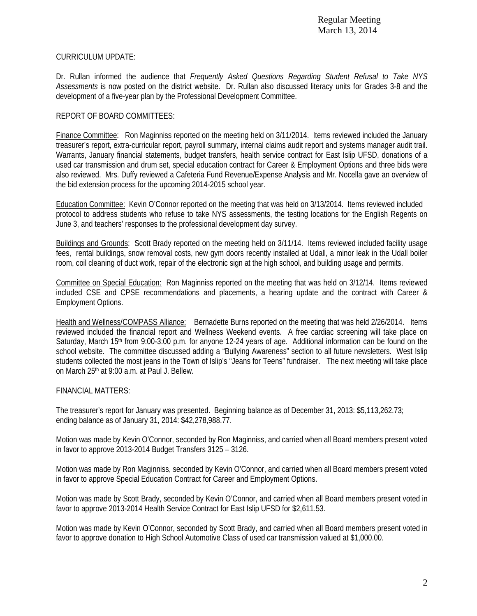Regular Meeting March 13, 2014

## CURRICULUM UPDATE:

Dr. Rullan informed the audience that *Frequently Asked Questions Regarding Student Refusal to Take NYS Assessments* is now posted on the district website. Dr. Rullan also discussed literacy units for Grades 3-8 and the development of a five-year plan by the Professional Development Committee.

## REPORT OF BOARD COMMITTEES:

Finance Committee: Ron Maginniss reported on the meeting held on 3/11/2014. Items reviewed included the January treasurer's report, extra-curricular report, payroll summary, internal claims audit report and systems manager audit trail. Warrants, January financial statements, budget transfers, health service contract for East Islip UFSD, donations of a used car transmission and drum set, special education contract for Career & Employment Options and three bids were also reviewed. Mrs. Duffy reviewed a Cafeteria Fund Revenue/Expense Analysis and Mr. Nocella gave an overview of the bid extension process for the upcoming 2014-2015 school year.

Education Committee: Kevin O'Connor reported on the meeting that was held on 3/13/2014. Items reviewed included protocol to address students who refuse to take NYS assessments, the testing locations for the English Regents on June 3, and teachers' responses to the professional development day survey.

Buildings and Grounds: Scott Brady reported on the meeting held on 3/11/14. Items reviewed included facility usage fees, rental buildings, snow removal costs, new gym doors recently installed at Udall, a minor leak in the Udall boiler room, coil cleaning of duct work, repair of the electronic sign at the high school, and building usage and permits.

Committee on Special Education: Ron Maginniss reported on the meeting that was held on 3/12/14. Items reviewed included CSE and CPSE recommendations and placements, a hearing update and the contract with Career & Employment Options.

Health and Wellness/COMPASS Alliance: Bernadette Burns reported on the meeting that was held 2/26/2014. Items reviewed included the financial report and Wellness Weekend events. A free cardiac screening will take place on Saturday, March 15<sup>th</sup> from 9:00-3:00 p.m. for anyone 12-24 years of age. Additional information can be found on the school website. The committee discussed adding a "Bullying Awareness" section to all future newsletters. West Islip students collected the most jeans in the Town of Islip's "Jeans for Teens" fundraiser. The next meeting will take place on March 25th at 9:00 a.m. at Paul J. Bellew.

## FINANCIAL MATTERS:

The treasurer's report for January was presented. Beginning balance as of December 31, 2013: \$5,113,262.73; ending balance as of January 31, 2014: \$42,278,988.77.

Motion was made by Kevin O'Connor, seconded by Ron Maginniss, and carried when all Board members present voted in favor to approve 2013-2014 Budget Transfers 3125 – 3126.

Motion was made by Ron Maginniss, seconded by Kevin O'Connor, and carried when all Board members present voted in favor to approve Special Education Contract for Career and Employment Options.

Motion was made by Scott Brady, seconded by Kevin O'Connor, and carried when all Board members present voted in favor to approve 2013-2014 Health Service Contract for East Islip UFSD for \$2,611.53.

Motion was made by Kevin O'Connor, seconded by Scott Brady, and carried when all Board members present voted in favor to approve donation to High School Automotive Class of used car transmission valued at \$1,000.00.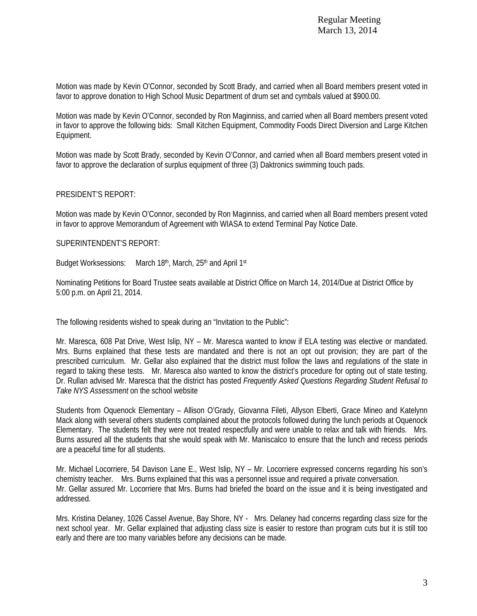Motion was made by Kevin O'Connor, seconded by Scott Brady, and carried when all Board members present voted in favor to approve donation to High School Music Department of drum set and cymbals valued at \$900.00.

Motion was made by Kevin O'Connor, seconded by Ron Maginniss, and carried when all Board members present voted in favor to approve the following bids: Small Kitchen Equipment, Commodity Foods Direct Diversion and Large Kitchen Equipment.

Motion was made by Scott Brady, seconded by Kevin O'Connor, and carried when all Board members present voted in favor to approve the declaration of surplus equipment of three (3) Daktronics swimming touch pads.

# PRESIDENT'S REPORT:

Motion was made by Kevin O'Connor, seconded by Ron Maginniss, and carried when all Board members present voted in favor to approve Memorandum of Agreement with WIASA to extend Terminal Pay Notice Date.

## SUPERINTENDENT'S REPORT:

Budget Worksessions: March 18th, March, 25th and April 1st

Nominating Petitions for Board Trustee seats available at District Office on March 14, 2014/Due at District Office by 5:00 p.m. on April 21, 2014.

The following residents wished to speak during an "Invitation to the Public":

Mr. Maresca, 608 Pat Drive, West Islip, NY – Mr. Maresca wanted to know if ELA testing was elective or mandated. Mrs. Burns explained that these tests are mandated and there is not an opt out provision; they are part of the prescribed curriculum. Mr. Gellar also explained that the district must follow the laws and regulations of the state in regard to taking these tests. Mr. Maresca also wanted to know the district's procedure for opting out of state testing. Dr. Rullan advised Mr. Maresca that the district has posted *Frequently Asked Questions Regarding Student Refusal to Take NYS Assessment* on the school website

Students from Oquenock Elementary – Allison O'Grady, Giovanna Fileti, Allyson Elberti, Grace Mineo and Katelynn Mack along with several others students complained about the protocols followed during the lunch periods at Oquenock Elementary. The students felt they were not treated respectfully and were unable to relax and talk with friends. Mrs. Burns assured all the students that she would speak with Mr. Maniscalco to ensure that the lunch and recess periods are a peaceful time for all students.

Mr. Michael Locorriere, 54 Davison Lane E., West Islip, NY – Mr. Locorriere expressed concerns regarding his son's chemistry teacher. Mrs. Burns explained that this was a personnel issue and required a private conversation. Mr. Gellar assured Mr. Locorriere that Mrs. Burns had briefed the board on the issue and it is being investigated and addressed.

Mrs. Kristina Delaney, 1026 Cassel Avenue, Bay Shore, NY - Mrs. Delaney had concerns regarding class size for the next school year. Mr. Gellar explained that adjusting class size is easier to restore than program cuts but it is still too early and there are too many variables before any decisions can be made.